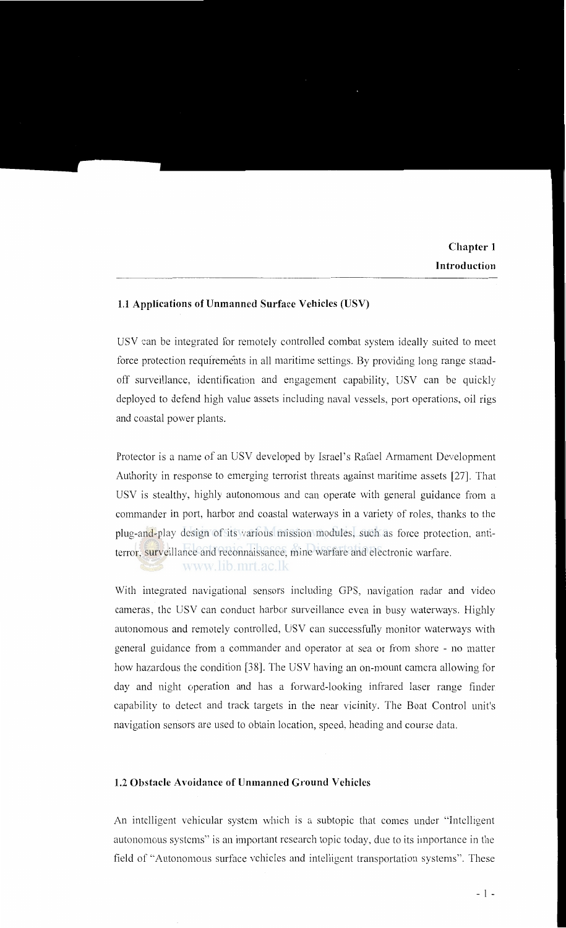## **1.1 Applications of Unmanned Surface Vehicles (USV)**

USV can be integrated for remotely controlled combat system ideally suited to meet force protection requirements in all maritime settings. By providing long range standoff surveillance, identification and engagement capability, USV can be quickly deployed to defend high value assets including naval vessels, port operations, oil rigs and coastal power plants.

Protector is a name of an USV developed by Israel's Rafael Armament Development Authority in response to emerging terrorist threats against maritime assets [27]. That USV is stealthy, highly autonomous and can operate with general guidance from a commander in port, harbor and coastal waterways in a variety of roles, thanks to the plug-and-play design of its various mission modules, such as force protection, antiterror, surveillance and reconnaissance, mine warfare and electronic warfare.

www.lib.mrt.ac.lk

With integrated navigational sensors including GPS, navigation radar and video cameras, the USV can conduct harbor surveillance even in busy waterways. Highly autonomous and remotely controlled, USV can successfully monitor waterways with general guidance from a commander and operator at sea or from shore - no matter how hazardous the condition [38]. The USV having an on-mount camera allowing for day and night operation and has a forward-looking infrared laser range finder capability to detect and track targets in the near vicinity. The Boat Control unit's navigation sensors are used to obtain location, speed, heading and course data.

## **1.2 Obstacle Avoidance of Unmanned Ground Vehicles**

An intelligent vehicular system which is a subtopic that comes under "Intelligent autonomous systems" is an important research topic today, due to its importance in the field of "Autonomous surface vehicles and intelligent transportation systems". These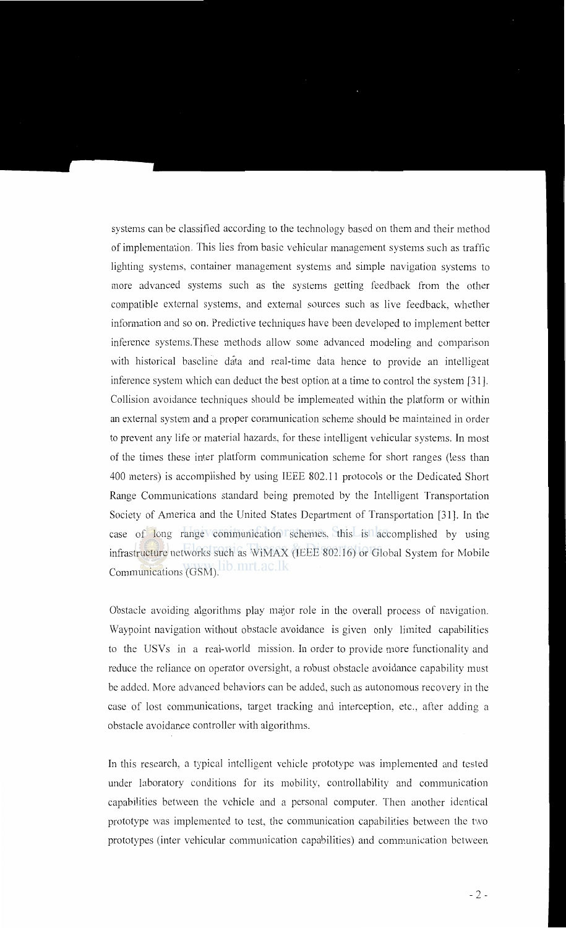systems can be classified according to the technology based on them and their method of implementation. This lies from basic vehicular management systems such as traffic lighting systems, container management systems and simple navigation systems to more advanced systems such as the systems getting feedback from the other compatible external systems, and external sources such as live feedback, whether information and so on. Predictive techniques have been developed to implement better inference systems.These methods allow some advanced modeling and comparison with historical baseline data and real-time data hence to provide an intelligent inference system which can deduct the best option at a time to control the system [31]. Collision avoidance techniques should be implemented within the platform or within an external system and a proper communication scheme should be maintained in order to prevent any life or material hazards, for these intelligent vehicular systems. In most of the times these inter platform communication scheme for short ranges (less than 400 meters) is accomplished by using IEEE 802.11 protocols or the Dedicated Short Range Communications standard being promoted by the Intelligent Transportation Society of America and the United States Department of Transportation [31]. In the case of long range communication schemes, this is accomplished by using infrastructure networks such as WiMAX (IEEE 802.16) or Global System for Mobile Communications (GSM).

Obstacle avoiding algorithms play major role in the overall process of navigation. Waypoint navigation without obstacle avoidance is given only limited capabilities to the USVs in a real-world mission. In order to provide more functionality and reduce the reliance on operator oversight, a robust obstacle avoidance capability must be added. More advanced behaviors can be added, such as autonomous recovery in the case of lost communications, target tracking and interception, etc., after adding a obstacle avoidance controller with algorithms.

In this research, a typical intelligent vehicle prototype was implemented and tested under laboratory conditions for its mobility, controllability and communication capabilities between the vehicle and a personal computer. Then another identical prototype was implemented to test, the communication capabilities between the tvvo prototypes (inter vehicular communication capabilities) and communication between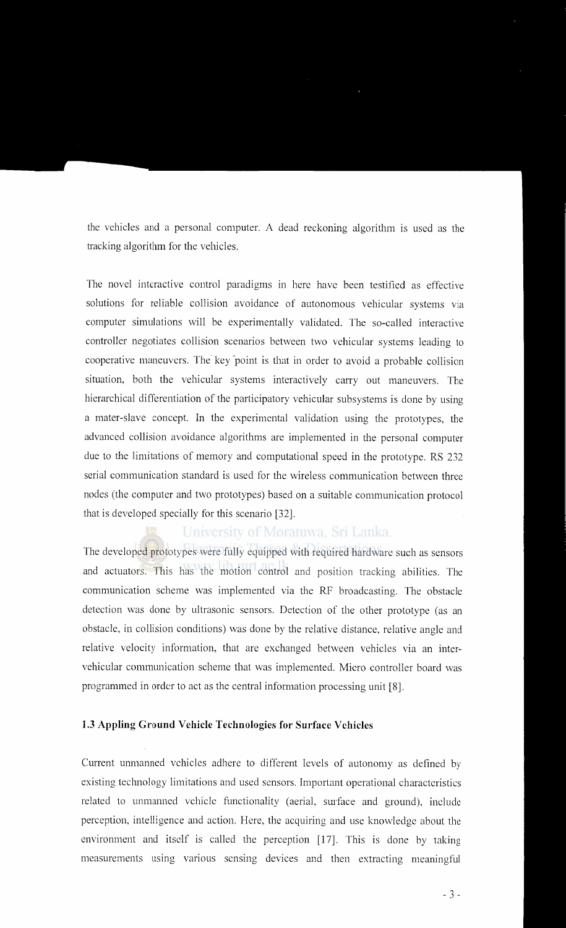the vehicles and a personal computer. A dead reckoning algorithm is used as the tracking algorithm for the vehicles.

The novel interactive control paradigms in here have been testified as effective solutions for reliable collision avoidance of autonomous vehicular systems via computer simulations will be experimentally validated. The so-called interactive controller negotiates collision scenarios between two vehicular systems leading to cooperative maneuvers. The key point is that in order to avoid a probable collision situation, both the vehicular systems interactively carry out maneuvers. The hierarchical differentiation of the participatory vehicular subsystems is done by using a mater-slave concept. In the experimental validation using the prototypes, the advanced collision avoidance algorithms are implemented in the personal computer due to the limitations of memory and computational speed in the prototype. RS 232 serial communication standard is used for the wireless communication between three nodes (the computer and two prototypes) based on a suitable communication protocol that is developed specially for this scenario [32].

## University of Moratuwa, Sri Lanka.

The developed prototypes were fully equipped with required hardware such as sensors and actuators. This has the motion control and position tracking abilities. The communication scheme was implemented via the RF broadcasting. The obstacle detection was done by ultrasonic sensors. Detection of the other prototype (as an obstacle, in collision conditions) was done by the relative distance, relative angle and relative velocity information, that are exchanged between vehicles via an intervehicular communication scheme that was implemented. Micro controller board was programmed in order to act as the central information processing unit [8].

#### **1.3 Appling Ground Vehicle Technologies for Surface V chicles**

Current unmanned vehicles adhere to different levels of autonomy as defined by existing technology limitations and used sensors. Important operational characteristics related to unmanned vehicle functionality (aerial, surface and ground), include perception, intelligence and action. Here, the acquiring and use knowledge about the environment and itself is called the perception [17]. This is done by taking measurements using various sensing devices and then extracting meaningful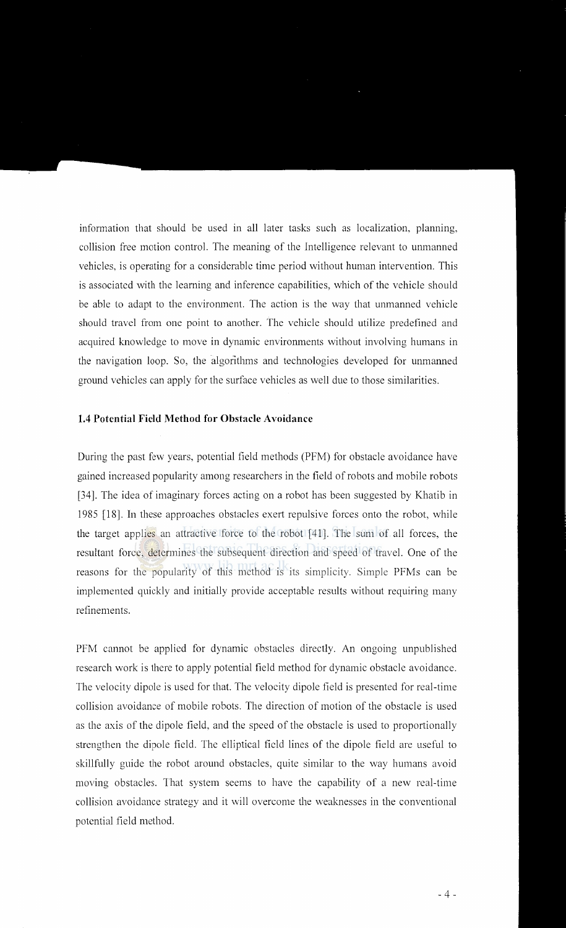information that should be used in all later tasks such as localization, planning, collision free motion control. The meaning of the Intelligence relevant to unmanned vehicles, is operating for a considerable time period without human intervention. This is associated with the learning and inference capabilities, which of the vehicle should be able to adapt to the environment. The action is the way that unmanned vehicle should travel from one point to another. The vehicle should utilize predefined and acquired knowledge to move in dynamic environments without involving humans in the navigation loop. So, the algorithms and technologies developed for unmanned ground vehicles can apply for the surface vehicles as well due to those similarities.

#### **1.4 Potential Field Method for Obstacle Avoidance**

During the past few years, potential field methods (PFM) for obstacle avoidance have gained increased popularity among researchers in the field of robots and mobile robots [34]. The idea of imaginary forces acting on a robot has been suggested by Khatib in 1985 [18]. In these approaches obstacles exert repulsive forces onto the robot, while the target applies an attractive force to the robot [ 41]. The sum of all forces, the resultant force, determines the subsequent direction and speed of travel. One of the reasons for the popularity of this method is its simplicity. Simple PFMs can be implemented quickly and initially provide acceptable results without requiring many refinements.

PFM cannot be applied for dynamic obstacles directly. An ongoing unpublished research work is there to apply potential field method for dynamic obstacle avoidance. The velocity dipole is used for that. The velocity dipole field is presented for real-time collision avoidance of mobile robots. The direction of motion of the obstacle is used as the axis of the dipole field, and the speed of the obstacle is used to proportionally strengthen the dipole field. The elliptical field lines of the dipole field are useful to skillfully guide the robot around obstacles, quite similar to the way humans avoid moving obstacles. That system seems to have the capability of a new real-time collision avoidance strategy and it will overcome the weaknesses in the conventional potential field method.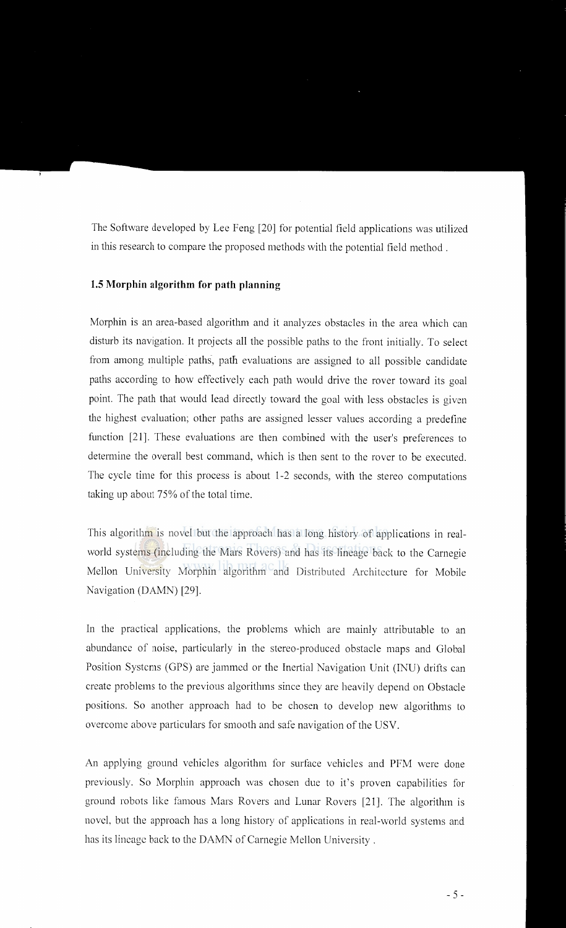The Software developed by Lee Feng [20] for potential field applications was utilized in this research to compare the proposed methods with the potential field method .

## **1.5 Morphin algorithm for path planning**

Morphin is an area-based algorithm and it analyzes obstacles in the area which can disturb its navigation. It projects all the possible paths to the front initially. To select from among multiple paths, path evaluations are assigned to all possible candidate paths according to how effectively each path would drive the rover toward its goal point. The path that would lead directly toward the goal with less obstacles is given the highest evaluation; other paths are assigned lesser values according a predefine function [21]. These evaluations are then combined with the user's preferences to determine the overall best command, which is then sent to the rover to be executed. The cycle time for this process is about 1-2 seconds, with the stereo computations taking up about 75% of the total time.

This algorithm is novel but the approach has a long history of applications in realworld systems (including the Mars Rovers) and has its lineage back to the Carnegie Mellon University Morphin algorithm and Distributed Architecture for Mobile Navigation (DAMN) [29].

In the practical applications, the problems which are mainly attributable to an abundance of noise, particularly in the stereo-produced obstacle maps and Global Position Systems (GPS) are jammed or the Inertial Navigation Unit (INU) drifts can create problems to the previous algorithms since they are heavily depend on Obstacle positions. So another approach had to be chosen to develop new algorithms to overcome above particulars for smooth and safe navigation of the USV.

An applying ground vehicles algorithm for surface vehicles and PFM were done previously. So Morphin approach was chosen due to it's proven capabilities for ground robots like famous Mars Rovers and Lunar Rovers [21]. The algorithm is novel, but the approach has a long history of applications in real-world systems and has its lineage back to the DAMN of Carnegie Mellon University .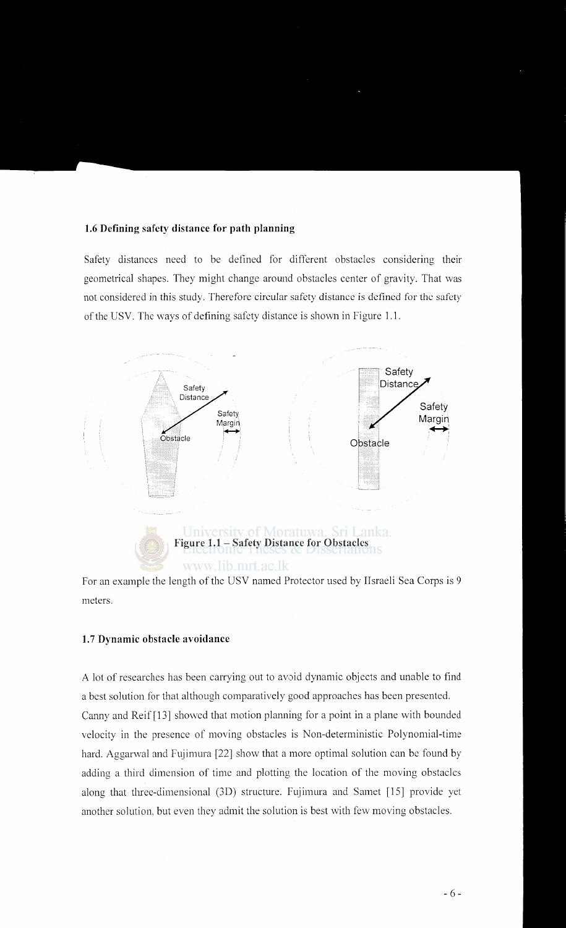#### **1.6 Defining safety distance for path planning**

Safety distances need to be defined for different obstacles considering their geometrical shapes. They might change around obstacles center of gravity. That was not considered in this study. Therefore circular safety distance is defined for the safety of the USV. The ways of defining safety distance is shown in Figure 1.1.



For an example the length of the USV named Protector used by IIsraeli Sea Corps is 9 meters.

## **1.7 Dynamic obstacle avoidance**

A lot of researches has been carrying out to avoid dynamic objects and unable to find a best solution for that although comparatively good approaches has been presented. Canny and Reif [13] showed that motion planning for a point in a plane with bounded velocity in the presence of moving obstacles is Non-deterministic Polynomial-time hard. Aggarwal and Fujimura [22] show that a more optimal solution can be found by adding a third dimension of time and plotting the location of the moving obstacles along that three-dimensional (3D) structure. Fujimura and Samet [15] provide yet another solution, but even they admit the solution is best with few moving obstacles.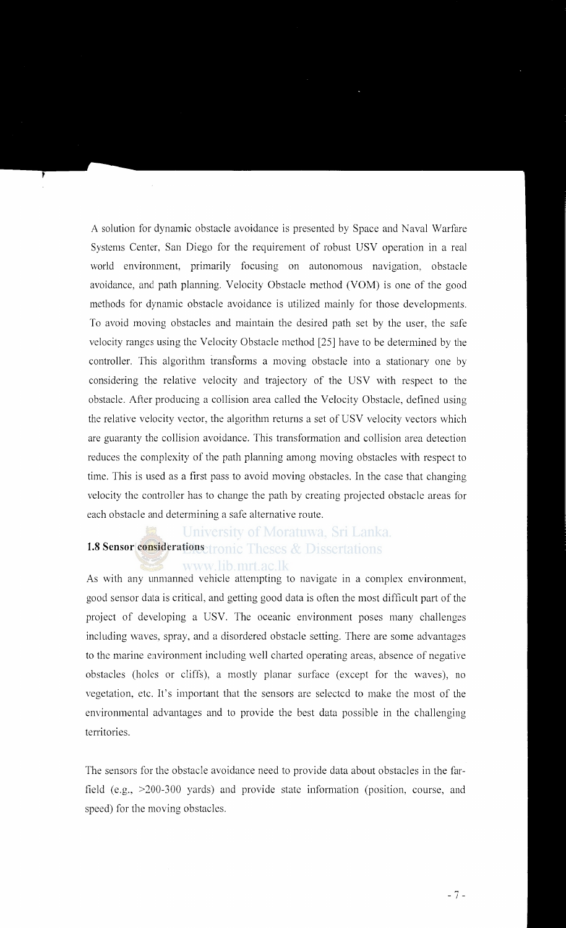A solution for dynamic obstacle avoidance is presented by Space and Naval Warfare Systems Center, San Diego for the requirement of robust USV operation in a real world environment, primarily focusing on autonomous navigation, obstacle avoidance, and path planning. Velocity Obstacle method (VOM) is one of the good methods for dynamic obstacle avoidance is utilized mainly for those developments. To avoid moving obstacles and maintain the desired path set by the user, the safe velocity ranges using the Velocity Obstacle method [25] have to be determined by the controller. This algorithm transforms a moving obstacle into a stationary one by considering the relative velocity and trajectory of the USV with respect to the obstacle. After producing a collision area called the Velocity Obstacle, defined using the relative velocity vector, the algorithm returns a set of USV velocity vectors which are guaranty the collision avoidance. This transformation and collision area detection reduces the complexity of the path planning among moving obstacles with respect to time. This is used as a first pass to avoid moving obstacles. In the case that changing velocity the controller has to change the path by creating projected obstacle areas for each obstacle and determining a safe alternative route.

# University of Moratuwa, Sri Lanka. 1.8 Sensor considerations **tronic Theses & Dissertations** www.lib.mrt.ac.lk

As with any unmanned vehicle attempting to navigate in a complex environment, good sensor data is critical, and getting good data is often the most difficult part of the project of developing a USV. The oceanic environment poses many challenges including waves, spray, and a disordered obstacle setting. There are some advantages to the marine environment including well charted operating areas, absence of negative obstacles (holes or cliffs), a mostly planar surface (except for the waves), no vegetation, etc. It's important that the sensors are selected to make the most of the environmental advantages and to provide the best data possible in the challenging territories.

The sensors for the obstacle avoidance need to provide data about obstacles in the farfield (e.g., >200-300 yards) and provide state information (position, course, and speed) for the moving obstacles.